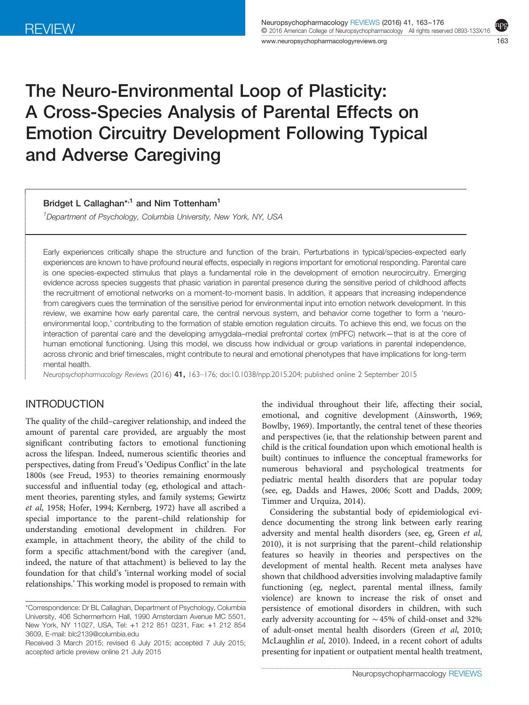I

ļ Ì

 $\overline{\phantom{a}}$ 

ww.neuropsychopharmacology.com/2009/1632/2009/1632/2009/1632/2009/1633/2009/1633/2009/1633/2009/1633/2009/1633/<br>https://www.neuropsychology.com/2009/1633/2009/1633/2009/1633/2009/1633/2009/1633/2009/1633/2009/1633/2009/163

# The Neuro-Environmental Loop of Plasticity: A Cross-Species Analysis of Parental Effects on Emotion Circuitry Development Following Typical and Adverse Caregiving

Bridget L Callaghan\*<sup>1</sup> and Nim Tottenham<sup>1</sup>

<sup>1</sup>Department of Psychology, Columbia University, New York, NY, USA

Early experiences critically shape the structure and function of the brain. Perturbations in typical/species-expected early experiences are known to have profound neural effects, especially in regions important for emotional responding. Parental care is one species-expected stimulus that plays a fundamental role in the development of emotion neurocircuitry. Emerging evidence across species suggests that phasic variation in parental presence during the sensitive period of childhood affects the recruitment of emotional networks on a moment-to-moment basis. In addition, it appears that increasing independence from caregivers cues the termination of the sensitive period for environmental input into emotion network development. In this review, we examine how early parental care, the central nervous system, and behavior come together to form a 'neuroenvironmental loop,' contributing to the formation of stable emotion regulation circuits. To achieve this end, we focus on the interaction of parental care and the developing amygdala–medial prefrontal cortex (mPFC) network—that is at the core of human emotional functioning. Using this model, we discuss how individual or group variations in parental independence, across chronic and brief timescales, might contribute to neural and emotional phenotypes that have implications for long-term mental health.

Neuropsychopharmacology Reviews (2016) 41, <sup>163</sup>–176; doi[:10.1038/npp.2015.204;](http://dx.doi.org/10.1038/npp.2015.204) published online 2 September 2015

# INTRODUCTION

The quality of the child–caregiver relationship, and indeed the amount of parental care provided, are arguably the most significant contributing factors to emotional functioning across the lifespan. Indeed, numerous scientific theories and perspectives, dating from Freud's 'Oedipus Conflict' in the late 1800s (see [Freud, 1953\)](#page-11-0) to theories remaining enormously successful and influential today (eg, ethological and attachment theories, parenting styles, and family systems; [Gewirtz](#page-11-0) et al[, 1958;](#page-11-0) [Hofer, 1994; Kernberg, 1972](#page-12-0)) have all ascribed a special importance to the parent–child relationship for understanding emotional development in children. For example, in attachment theory, the ability of the child to form a specific attachment/bond with the caregiver (and, indeed, the nature of that attachment) is believed to lay the foundation for that child's 'internal working model of social relationships.' This working model is proposed to remain with

the individual throughout their life, affecting their social, emotional, and cognitive development [\(Ainsworth, 1969;](#page-10-0) [Bowlby, 1969](#page-11-0)). Importantly, the central tenet of these theories and perspectives (ie, that the relationship between parent and child is the critical foundation upon which emotional health is built) continues to influence the conceptual frameworks for numerous behavioral and psychological treatments for pediatric mental health disorders that are popular today (see, eg, [Dadds and Hawes, 2006;](#page-11-0) [Scott and Dadds, 2009;](#page-13-0) [Timmer and Urquiza, 2014\)](#page-13-0).

Considering the substantial body of epidemiological evidence documenting the strong link between early rearing adversity and mental health disorders (see, eg, [Green](#page-11-0) et al, [2010\)](#page-11-0), it is not surprising that the parent–child relationship features so heavily in theories and perspectives on the development of mental health. Recent meta analyses have shown that childhood adversities involving maladaptive family functioning (eg, neglect, parental mental illness, family violence) are known to increase the risk of onset and persistence of emotional disorders in children, with such early adversity accounting for ∼45% of child-onset and 32% of adult-onset mental health disorders (Green et al[, 2010;](#page-11-0) [McLaughlin](#page-12-0) et al, 2010). Indeed, in a recent cohort of adults presenting for inpatient or outpatient mental health treatment,

<sup>\*</sup>Correspondence: Dr BL Callaghan, Department of Psychology, Columbia University, 406 Schermerhorn Hall, 1990 Amsterdam Avenue MC 5501, New York, NY 11027, USA, Tel: +1 212 851 0231, Fax: +1 212 854 3609, E-mail: [blc2139@columbia.edu](mailto:blc2139@columbia.edu)

Received 3 March 2015; revised 6 July 2015; accepted 7 July 2015; accepted article preview online 21 July 2015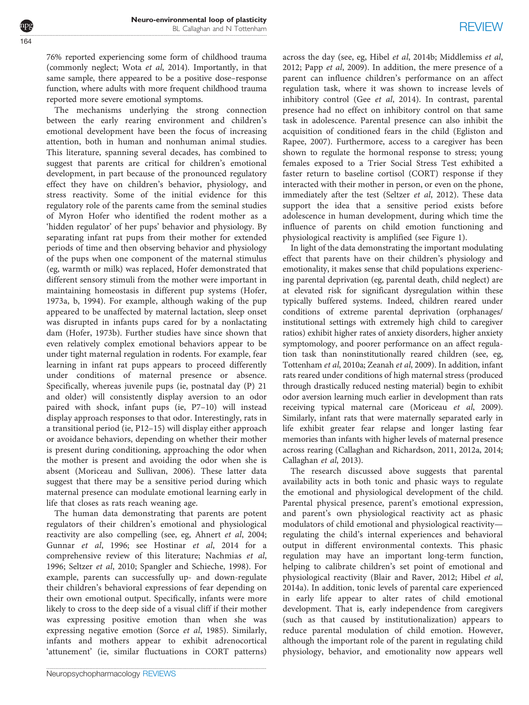76% reported experiencing some form of childhood trauma (commonly neglect; Wota et al[, 2014\)](#page-13-0). Importantly, in that same sample, there appeared to be a positive dose–response function, where adults with more frequent childhood trauma reported more severe emotional symptoms.

The mechanisms underlying the strong connection between the early rearing environment and children's emotional development have been the focus of increasing attention, both in human and nonhuman animal studies. This literature, spanning several decades, has combined to suggest that parents are critical for children's emotional development, in part because of the pronounced regulatory effect they have on children's behavior, physiology, and stress reactivity. Some of the initial evidence for this regulatory role of the parents came from the seminal studies of Myron Hofer who identified the rodent mother as a 'hidden regulator' of her pups' behavior and physiology. By separating infant rat pups from their mother for extended periods of time and then observing behavior and physiology of the pups when one component of the maternal stimulus (eg, warmth or milk) was replaced, Hofer demonstrated that different sensory stimuli from the mother were important in maintaining homeostasis in different pup systems [\(Hofer,](#page-12-0) [1973a, b, 1994](#page-12-0)). For example, although waking of the pup appeared to be unaffected by maternal lactation, sleep onset was disrupted in infants pups cared for by a nonlactating dam ([Hofer, 1973b\)](#page-12-0). Further studies have since shown that even relatively complex emotional behaviors appear to be under tight maternal regulation in rodents. For example, fear learning in infant rat pups appears to proceed differently under conditions of maternal presence or absence. Specifically, whereas juvenile pups (ie, postnatal day (P) 21 and older) will consistently display aversion to an odor paired with shock, infant pups (ie, P7–10) will instead display approach responses to that odor. Interestingly, rats in a transitional period (ie, P12–15) will display either approach or avoidance behaviors, depending on whether their mother is present during conditioning, approaching the odor when the mother is present and avoiding the odor when she is absent [\(Moriceau and Sullivan, 2006](#page-12-0)). These latter data suggest that there may be a sensitive period during which maternal presence can modulate emotional learning early in life that closes as rats reach weaning age.

The human data demonstrating that parents are potent regulators of their children's emotional and physiological reactivity are also compelling (see, eg, [Ahnert](#page-10-0) et al, 2004; [Gunnar](#page-11-0) et al, 1996; see [Hostinar](#page-12-0) et al, 2014 for a comprehensive review of this literature; [Nachmias](#page-13-0) et al, [1996](#page-13-0); [Seltzer](#page-13-0) et al, 2010; [Spangler and Schieche, 1998\)](#page-13-0). For example, parents can successfully up- and down-regulate their children's behavioral expressions of fear depending on their own emotional output. Specifically, infants were more likely to cross to the deep side of a visual cliff if their mother was expressing positive emotion than when she was expressing negative emotion (Sorce et al[, 1985](#page-13-0)). Similarly, infants and mothers appear to exhibit adrenocortical 'attunement' (ie, similar fluctuations in CORT patterns) across the day (see, eg, Hibel et al[, 2014b; Middlemiss](#page-12-0) et al, [2012](#page-12-0); Papp et al[, 2009](#page-13-0)). In addition, the mere presence of a parent can influence children's performance on an affect regulation task, where it was shown to increase levels of inhibitory control (Gee et al[, 2014](#page-11-0)). In contrast, parental presence had no effect on inhibitory control on that same task in adolescence. Parental presence can also inhibit the acquisition of conditioned fears in the child ([Egliston and](#page-11-0) [Rapee, 2007\)](#page-11-0). Furthermore, access to a caregiver has been shown to regulate the hormonal response to stress; young females exposed to a Trier Social Stress Test exhibited a faster return to baseline cortisol (CORT) response if they interacted with their mother in person, or even on the phone, immediately after the test ([Seltzer](#page-13-0) et al, 2012). These data support the idea that a sensitive period exists before adolescence in human development, during which time the influence of parents on child emotion functioning and physiological reactivity is amplified (see [Figure 1\)](#page-2-0).

In light of the data demonstrating the important modulating effect that parents have on their children's physiology and emotionality, it makes sense that child populations experiencing parental deprivation (eg, parental death, child neglect) are at elevated risk for significant dysregulation within these typically buffered systems. Indeed, children reared under conditions of extreme parental deprivation (orphanages/ institutional settings with extremely high child to caregiver ratios) exhibit higher rates of anxiety disorders, higher anxiety symptomology, and poorer performance on an affect regulation task than noninstitutionally reared children (see, eg, [Tottenham](#page-13-0) et al, 2010a; [Zeanah](#page-13-0) et al, 2009). In addition, infant rats reared under conditions of high maternal stress (produced through drastically reduced nesting material) begin to exhibit odor aversion learning much earlier in development than rats receiving typical maternal care [\(Moriceau](#page-12-0) et al, 2009). Similarly, infant rats that were maternally separated early in life exhibit greater fear relapse and longer lasting fear memories than infants with higher levels of maternal presence across rearing [\(Callaghan and Richardson, 2011, 2012a, 2014](#page-11-0); [Callaghan](#page-11-0) et al, 2013).

The research discussed above suggests that parental availability acts in both tonic and phasic ways to regulate the emotional and physiological development of the child. Parental physical presence, parent's emotional expression, and parent's own physiological reactivity act as phasic modulators of child emotional and physiological reactivity regulating the child's internal experiences and behavioral output in different environmental contexts. This phasic regulation may have an important long-term function, helping to calibrate children's set point of emotional and physiological reactivity ([Blair and Raver, 2012;](#page-11-0) [Hibel](#page-12-0) et al, [2014a\)](#page-12-0). In addition, tonic levels of parental care experienced in early life appear to alter rates of child emotional development. That is, early independence from caregivers (such as that caused by institutionalization) appears to reduce parental modulation of child emotion. However, although the important role of the parent in regulating child physiology, behavior, and emotionality now appears well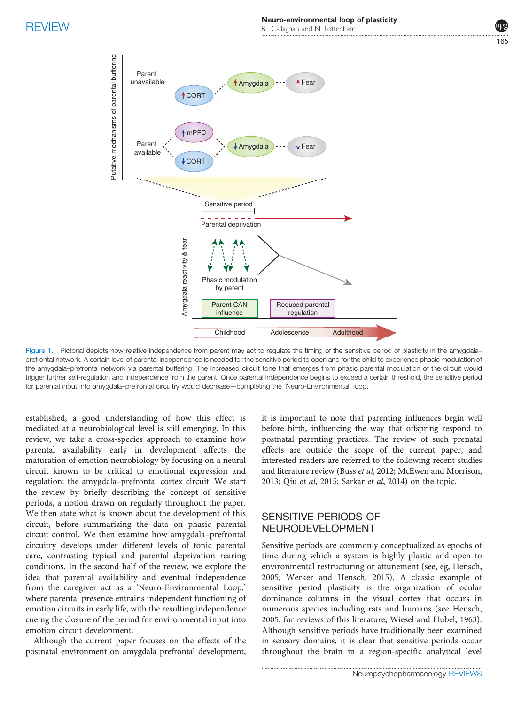

<span id="page-2-0"></span>

Figure 1. Pictorial depicts how relative independence from parent may act to regulate the timing of the sensitive period of plasticity in the amygdala– prefrontal network. A certain level of parental independence is needed for the sensitive period to open and for the child to experience phasic modulation of the amygdala–prefrontal network via parental buffering. The increased circuit tone that emerges from phasic parental modulation of the circuit would trigger further self-regulation and independence from the parent. Once parental independence begins to exceed a certain threshold, the sensitive period for parental input into amygdala–prefrontal circuitry would decrease—completing the 'Neuro-Environmental' loop.

established, a good understanding of how this effect is mediated at a neurobiological level is still emerging. In this review, we take a cross-species approach to examine how parental availability early in development affects the maturation of emotion neurobiology by focusing on a neural circuit known to be critical to emotional expression and regulation: the amygdala–prefrontal cortex circuit. We start the review by briefly describing the concept of sensitive periods, a notion drawn on regularly throughout the paper. We then state what is known about the development of this circuit, before summarizing the data on phasic parental circuit control. We then examine how amygdala–prefrontal circuitry develops under different levels of tonic parental care, contrasting typical and parental deprivation rearing conditions. In the second half of the review, we explore the idea that parental availability and eventual independence from the caregiver act as a 'Neuro-Environmental Loop,' where parental presence entrains independent functioning of emotion circuits in early life, with the resulting independence cueing the closure of the period for environmental input into emotion circuit development.

Although the current paper focuses on the effects of the postnatal environment on amygdala prefrontal development, it is important to note that parenting influences begin well before birth, influencing the way that offspring respond to postnatal parenting practices. The review of such prenatal effects are outside the scope of the current paper, and interested readers are referred to the following recent studies and literature review (Buss et al[, 2012](#page-11-0); [McEwen and Morrison,](#page-12-0) [2013;](#page-12-0) Qiu et al[, 2015](#page-13-0); [Sarkar](#page-13-0) et al, 2014) on the topic.

## **SENSITIVE PERIODS OF** NEURODEVELOPMENT

NEURODEVELOPMENT Sensitive periods are commonly conceptualized as epochs of time during which a system is highly plastic and open to environmental restructuring or attunement (see, eg, Hensch, 2005; [Werker and Hensch, 2015\)](#page-13-0). A classic example of sensitive period plasticity is the organization of ocular dominance columns in the visual cortex that occurs in numerous species including rats and humans (see Hensch, 2005, for reviews of this literature; [Wiesel and Hubel, 1963](#page-13-0)). Although sensitive periods have traditionally been examined in sensory domains, it is clear that sensitive periods occur throughout the brain in a region-specific analytical level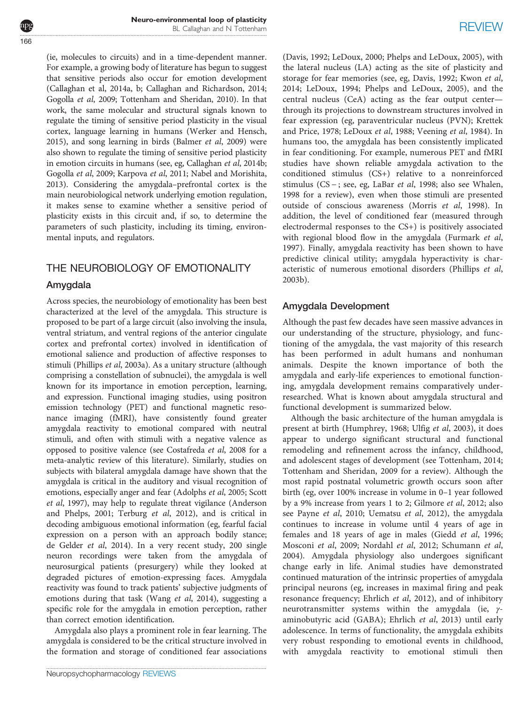(ie, molecules to circuits) and in a time-dependent manner. For example, a growing body of literature has begun to suggest that sensitive periods also occur for emotion development (Callaghan et al, 2014a, b; [Callaghan and Richardson, 2014](#page-11-0); [Gogolla](#page-11-0) et al, 2009; [Tottenham and Sheridan, 2010\)](#page-13-0). In that work, the same molecular and structural signals known to regulate the timing of sensitive period plasticity in the visual cortex, language learning in humans [\(Werker and Hensch,](#page-13-0) [2015](#page-13-0)), and song learning in birds [\(Balmer](#page-10-0) et al, 2009) were also shown to regulate the timing of sensitive period plasticity in emotion circuits in humans (see, eg, [Callaghan](#page-11-0) et al, 2014b; [Gogolla](#page-11-0) et al, 2009; [Karpova](#page-12-0) et al, 2011; [Nabel and Morishita,](#page-12-0) [2013](#page-12-0)). Considering the amygdala–prefrontal cortex is the main neurobiological network underlying emotion regulation, it makes sense to examine whether a sensitive period of plasticity exists in this circuit and, if so, to determine the parameters of such plasticity, including its timing, environmental inputs, and regulators.

### THE NEUROBIOLOGY OF EMOTIONALITY THE NEUROBIOLOGY OF EMOTIONALITY OF EMOTIONALITY

## Amygdala

Across species, the neurobiology of emotionality has been best characterized at the level of the amygdala. This structure is proposed to be part of a large circuit (also involving the insula, ventral striatum, and ventral regions of the anterior cingulate cortex and prefrontal cortex) involved in identification of emotional salience and production of affective responses to stimuli [\(Phillips](#page-13-0) et al, 2003a). As a unitary structure (although comprising a constellation of subnuclei), the amygdala is well known for its importance in emotion perception, learning, and expression. Functional imaging studies, using positron emission technology (PET) and functional magnetic resonance imaging (fMRI), have consistently found greater amygdala reactivity to emotional compared with neutral stimuli, and often with stimuli with a negative valence as opposed to positive valence (see [Costafreda](#page-11-0) et al, 2008 for a meta-analytic review of this literature). Similarly, studies on subjects with bilateral amygdala damage have shown that the amygdala is critical in the auditory and visual recognition of emotions, especially anger and fear ([Adolphs](#page-10-0) et al, 2005; [Scott](#page-13-0) et al[, 1997\)](#page-13-0), may help to regulate threat vigilance [\(Anderson](#page-10-0) [and Phelps, 2001](#page-10-0); [Terburg](#page-13-0) et al, 2012), and is critical in decoding ambiguous emotional information (eg, fearful facial expression on a person with an approach bodily stance; [de Gelder](#page-11-0) et al, 2014). In a very recent study, 200 single neuron recordings were taken from the amygdala of neurosurgical patients (presurgery) while they looked at degraded pictures of emotion-expressing faces. Amygdala reactivity was found to track patients' subjective judgments of emotions during that task (Wang et al[, 2014](#page-13-0)), suggesting a specific role for the amygdala in emotion perception, rather than correct emotion identification.

Amygdala also plays a prominent role in fear learning. The amygdala is considered to be the critical structure involved in the formation and storage of conditioned fear associations

([Davis, 1992](#page-11-0); [LeDoux, 2000;](#page-12-0) [Phelps and LeDoux, 2005\)](#page-13-0), with the lateral nucleus (LA) acting as the site of plasticity and storage for fear memories (see, eg, [Davis, 1992;](#page-11-0) [Kwon](#page-12-0) et al, [2014](#page-12-0); [LeDoux, 1994;](#page-12-0) [Phelps and LeDoux, 2005](#page-13-0)), and the central nucleus (CeA) acting as the fear output center through its projections to downstream structures involved in fear expression (eg, paraventricular nucleus (PVN); [Krettek](#page-12-0) [and Price, 1978; LeDoux](#page-12-0) et al, 1988; [Veening](#page-13-0) et al, 1984). In humans too, the amygdala has been consistently implicated in fear conditioning. For example, numerous PET and fMRI studies have shown reliable amygdala activation to the conditioned stimulus (CS+) relative to a nonreinforced stimulus (CS − ; see, eg, LaBar et al[, 1998;](#page-12-0) also see [Whalen,](#page-13-0) [1998](#page-13-0) for a review), even when those stimuli are presented outside of conscious awareness ([Morris](#page-12-0) et al, 1998). In addition, the level of conditioned fear (measured through electrodermal responses to the CS+) is positively associated with regional blood flow in the amygdala ([Furmark](#page-11-0) et al, [1997](#page-11-0)). Finally, amygdala reactivity has been shown to have predictive clinical utility; amygdala hyperactivity is characteristic of numerous emotional disorders [\(Phillips](#page-13-0) et al, [2003b\)](#page-13-0).

## Amygdala Development

Although the past few decades have seen massive advances in our understanding of the structure, physiology, and functioning of the amygdala, the vast majority of this research has been performed in adult humans and nonhuman animals. Despite the known importance of both the amygdala and early-life experiences to emotional functioning, amygdala development remains comparatively underresearched. What is known about amygdala structural and functional development is summarized below.

Although the basic architecture of the human amygdala is present at birth ([Humphrey, 1968](#page-12-0); Ulfig et al[, 2003\)](#page-13-0), it does appear to undergo significant structural and functional remodeling and refinement across the infancy, childhood, and adolescent stages of development (see [Tottenham, 2014](#page-13-0); [Tottenham and Sheridan, 2009](#page-13-0) for a review). Although the most rapid postnatal volumetric growth occurs soon after birth (eg, over 100% increase in volume in 0–1 year followed by a 9% increase from years 1 to 2; [Gilmore](#page-11-0) et al, 2012; also see Payne et al[, 2010](#page-13-0); [Uematsu](#page-13-0) et al, 2012), the amygdala continues to increase in volume until 4 years of age in females and 18 years of age in males (Giedd et al[, 1996](#page-11-0); [Mosconi](#page-12-0) et al, 2009; [Nordahl](#page-13-0) et al, 2012; [Schumann](#page-13-0) et al, [2004](#page-13-0)). Amygdala physiology also undergoes significant change early in life. Animal studies have demonstrated continued maturation of the intrinsic properties of amygdala principal neurons (eg, increases in maximal firing and peak resonance frequency; [Ehrlich](#page-11-0) et al, 2012), and of inhibitory neurotransmitter systems within the amygdala (ie, γaminobutyric acid (GABA); [Ehrlich](#page-11-0) et al, 2013) until early adolescence. In terms of functionality, the amygdala exhibits very robust responding to emotional events in childhood, with amygdala reactivity to emotional stimuli then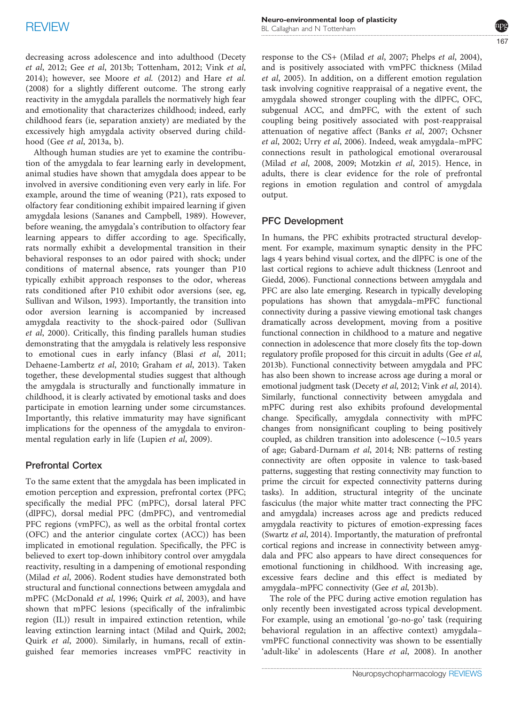decreasing across adolescence and into adulthood [\(Decety](#page-11-0) et al[, 2012;](#page-11-0) Gee et al, 2013b; [Tottenham, 2012](#page-13-0); [Vink](#page-13-0) et al, [2014\)](#page-13-0); however, see [Moore](#page-12-0) et al. (2012) and Hare [et al.](#page-11-0) [\(2008\)](#page-11-0) for a slightly different outcome. The strong early reactivity in the amygdala parallels the normatively high fear and emotionality that characterizes childhood; indeed, early childhood fears (ie, separation anxiety) are mediated by the excessively high amygdala activity observed during childhood (Gee et al[, 2013a, b\)](#page-11-0).

Although human studies are yet to examine the contribution of the amygdala to fear learning early in development, animal studies have shown that amygdala does appear to be involved in aversive conditioning even very early in life. For example, around the time of weaning (P21), rats exposed to olfactory fear conditioning exhibit impaired learning if given amygdala lesions [\(Sananes and Campbell, 1989\)](#page-13-0). However, before weaning, the amygdala's contribution to olfactory fear learning appears to differ according to age. Specifically, rats normally exhibit a developmental transition in their behavioral responses to an odor paired with shock; under conditions of maternal absence, rats younger than P10 typically exhibit approach responses to the odor, whereas rats conditioned after P10 exhibit odor aversions (see, eg, [Sullivan and Wilson, 1993\)](#page-13-0). Importantly, the transition into odor aversion learning is accompanied by increased amygdala reactivity to the shock-paired odor [\(Sullivan](#page-13-0) et al[, 2000\)](#page-13-0). Critically, this finding parallels human studies demonstrating that the amygdala is relatively less responsive to emotional cues in early infancy (Blasi et al[, 2011;](#page-11-0) [Dehaene-Lambertz](#page-11-0) et al, 2010; [Graham](#page-11-0) et al, 2013). Taken together, these developmental studies suggest that although the amygdala is structurally and functionally immature in childhood, it is clearly activated by emotional tasks and does participate in emotion learning under some circumstances. Importantly, this relative immaturity may have significant implications for the openness of the amygdala to environmental regulation early in life ([Lupien](#page-12-0) et al, 2009).

## Prefrontal Cortex

To the same extent that the amygdala has been implicated in emotion perception and expression, prefrontal cortex (PFC; specifically the medial PFC (mPFC), dorsal lateral PFC (dlPFC), dorsal medial PFC (dmPFC), and ventromedial PFC regions (vmPFC), as well as the orbital frontal cortex (OFC) and the anterior cingulate cortex (ACC)) has been implicated in emotional regulation. Specifically, the PFC is believed to exert top-down inhibitory control over amygdala reactivity, resulting in a dampening of emotional responding (Milad et al[, 2006\)](#page-12-0). Rodent studies have demonstrated both structural and functional connections between amygdala and mPFC ([McDonald](#page-12-0) et al, 1996; Quirk et al[, 2003\)](#page-13-0), and have shown that mPFC lesions (specifically of the infralimbic region (IL)) result in impaired extinction retention, while leaving extinction learning intact [\(Milad and Quirk, 2002;](#page-12-0) Quirk et al[, 2000\)](#page-13-0). Similarly, in humans, recall of extinguished fear memories increases vmPFC reactivity in

response to the CS+ (Milad et al[, 2007](#page-12-0); [Phelps](#page-13-0) et al, 2004), and is positively associated with vmPFC thickness ([Milad](#page-12-0) et al[, 2005\)](#page-12-0). In addition, on a different emotion regulation task involving cognitive reappraisal of a negative event, the amygdala showed stronger coupling with the dlPFC, OFC, subgenual ACC, and dmPFC, with the extent of such coupling being positively associated with post-reappraisal attenuation of negative affect (Banks et al[, 2007;](#page-10-0) [Ochsner](#page-13-0) et al[, 2002;](#page-13-0) Urry et al[, 2006\)](#page-13-0). Indeed, weak amygdala–mPFC connections result in pathological emotional overarousal (Milad et al[, 2008, 2009; Motzkin](#page-12-0) et al, 2015). Hence, in adults, there is clear evidence for the role of prefrontal regions in emotion regulation and control of amygdala output.

### PFC Development

In humans, the PFC exhibits protracted structural development. For example, maximum synaptic density in the PFC lags 4 years behind visual cortex, and the dlPFC is one of the last cortical regions to achieve adult thickness [\(Lenroot and](#page-12-0) [Giedd, 2006](#page-12-0)). Functional connections between amygdala and PFC are also late emerging. Research in typically developing populations has shown that amygdala–mPFC functional connectivity during a passive viewing emotional task changes dramatically across development, moving from a positive functional connection in childhood to a mature and negative connection in adolescence that more closely fits the top-down regulatory profile proposed for this circuit in adults (Gee et al, 2013b). Functional connectivity between amygdala and PFC has also been shown to increase across age during a moral or emotional judgment task ([Decety](#page-11-0) et al, 2012; Vink et al[, 2014](#page-13-0)). Similarly, functional connectivity between amygdala and mPFC during rest also exhibits profound developmental change. Specifically, amygdala connectivity with mPFC changes from nonsignificant coupling to being positively coupled, as children transition into adolescence (∼10.5 years of age; [Gabard-Durnam](#page-11-0) et al, 2014; NB: patterns of resting connectivity are often opposite in valence to task-based patterns, suggesting that resting connectivity may function to prime the circuit for expected connectivity patterns during tasks). In addition, structural integrity of the uncinate fasciculus (the major white matter tract connecting the PFC and amygdala) increases across age and predicts reduced amygdala reactivity to pictures of emotion-expressing faces [\(Swartz](#page-13-0) et al, 2014). Importantly, the maturation of prefrontal cortical regions and increase in connectivity between amygdala and PFC also appears to have direct consequences for emotional functioning in childhood. With increasing age, excessive fears decline and this effect is mediated by amygdala–mPFC connectivity (Gee et al[, 2013b\)](#page-11-0).

The role of the PFC during active emotion regulation has only recently been investigated across typical development. For example, using an emotional 'go-no-go' task (requiring behavioral regulation in an affective context) amygdala– vmPFC functional connectivity was shown to be essentially 'adult-like' in adolescents (Hare et al[, 2008\)](#page-11-0). In another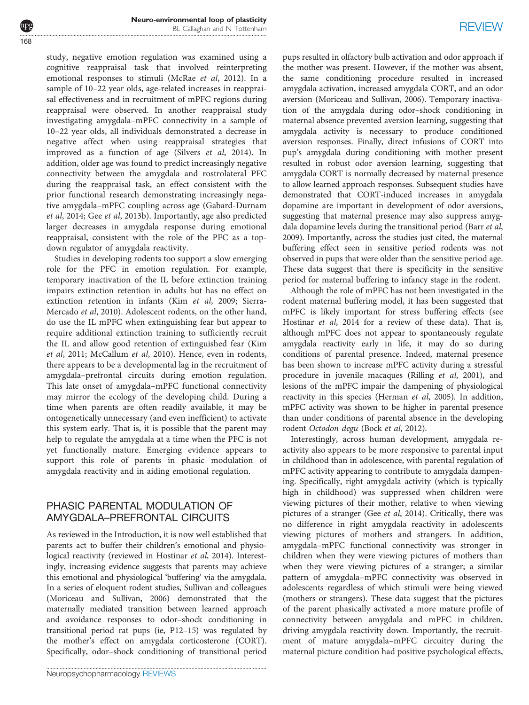study, negative emotion regulation was examined using a cognitive reappraisal task that involved reinterpreting emotional responses to stimuli [\(McRae](#page-12-0) et al, 2012). In a sample of 10–22 year olds, age-related increases in reappraisal effectiveness and in recruitment of mPFC regions during reappraisal were observed. In another reappraisal study investigating amygdala–mPFC connectivity in a sample of 10–22 year olds, all individuals demonstrated a decrease in negative affect when using reappraisal strategies that improved as a function of age (Silvers et al[, 2014\)](#page-13-0). In addition, older age was found to predict increasingly negative connectivity between the amygdala and rostrolateral PFC during the reappraisal task, an effect consistent with the prior functional research demonstrating increasingly negative amygdala–mPFC coupling across age ([Gabard-Durnam](#page-11-0) et al[, 2014](#page-11-0); Gee et al[, 2013b\)](#page-11-0). Importantly, age also predicted larger decreases in amygdala response during emotional reappraisal, consistent with the role of the PFC as a topdown regulator of amygdala reactivity.

Studies in developing rodents too support a slow emerging role for the PFC in emotion regulation. For example, temporary inactivation of the IL before extinction training impairs extinction retention in adults but has no effect on extinction retention in infants (Kim et al[, 2009](#page-12-0); [Sierra-](#page-13-0)[Mercado](#page-13-0) et al, 2010). Adolescent rodents, on the other hand, do use the IL mPFC when extinguishing fear but appear to require additional extinction training to sufficiently recruit the IL and allow good retention of extinguished fear ([Kim](#page-12-0) et al[, 2011; McCallum](#page-12-0) et al, 2010). Hence, even in rodents, there appears to be a developmental lag in the recruitment of amygdala–prefrontal circuits during emotion regulation. This late onset of amygdala–mPFC functional connectivity may mirror the ecology of the developing child. During a time when parents are often readily available, it may be ontogenetically unnecessary (and even inefficient) to activate this system early. That is, it is possible that the parent may help to regulate the amygdala at a time when the PFC is not yet functionally mature. Emerging evidence appears to support this role of parents in phasic modulation of amygdala reactivity and in aiding emotional regulation.

# PHASIC PARENTAL MODULATION OF AMYGDALA–PREFRONTAL CIRCUITS

As reviewed in the Introduction, it is now well established that parents act to buffer their children's emotional and physiological reactivity (reviewed in [Hostinar](#page-12-0) et al, 2014). Interestingly, increasing evidence suggests that parents may achieve this emotional and physiological 'buffering' via the amygdala. In a series of eloquent rodent studies, Sullivan and colleagues (Moriceau and Sullivan, 2006) demonstrated that the maternally mediated transition between learned approach and avoidance responses to odor–shock conditioning in transitional period rat pups (ie, P12–15) was regulated by the mother's effect on amygdala corticosterone (CORT). Specifically, odor–shock conditioning of transitional period pups resulted in olfactory bulb activation and odor approach if the mother was present. However, if the mother was absent, the same conditioning procedure resulted in increased amygdala activation, increased amygdala CORT, and an odor aversion ([Moriceau and Sullivan, 2006](#page-12-0)). Temporary inactivation of the amygdala during odor–shock conditioning in maternal absence prevented aversion learning, suggesting that amygdala activity is necessary to produce conditioned aversion responses. Finally, direct infusions of CORT into pup's amygdala during conditioning with mother present resulted in robust odor aversion learning, suggesting that amygdala CORT is normally decreased by maternal presence to allow learned approach responses. Subsequent studies have demonstrated that CORT-induced increases in amygdala dopamine are important in development of odor aversions, suggesting that maternal presence may also suppress amygdala dopamine levels during the transitional period [\(Barr](#page-10-0) et al, [2009](#page-10-0)). Importantly, across the studies just cited, the maternal buffering effect seen in sensitive period rodents was not observed in pups that were older than the sensitive period age. These data suggest that there is specificity in the sensitive period for maternal buffering to infancy stage in the rodent.

Although the role of mPFC has not been investigated in the rodent maternal buffering model, it has been suggested that mPFC is likely important for stress buffering effects (see [Hostinar](#page-12-0) et al, 2014 for a review of these data). That is, although mPFC does not appear to spontaneously regulate amygdala reactivity early in life, it may do so during conditions of parental presence. Indeed, maternal presence has been shown to increase mPFC activity during a stressful procedure in juvenile macaques [\(Rilling](#page-13-0) et al, 2001), and lesions of the mPFC impair the dampening of physiological reactivity in this species ([Herman](#page-12-0) et al, 2005). In addition, mPFC activity was shown to be higher in parental presence than under conditions of parental absence in the developing rodent Octodon degu (Bock et al[, 2012](#page-11-0)).

Interestingly, across human development, amygdala reactivity also appears to be more responsive to parental input in childhood than in adolescence, with parental regulation of mPFC activity appearing to contribute to amygdala dampening. Specifically, right amygdala activity (which is typically high in childhood) was suppressed when children were viewing pictures of their mother, relative to when viewing pictures of a stranger (Gee et al[, 2014](#page-11-0)). Critically, there was no difference in right amygdala reactivity in adolescents viewing pictures of mothers and strangers. In addition, amygdala–mPFC functional connectivity was stronger in children when they were viewing pictures of mothers than when they were viewing pictures of a stranger; a similar pattern of amygdala–mPFC connectivity was observed in adolescents regardless of which stimuli were being viewed (mothers or strangers). These data suggest that the pictures of the parent phasically activated a more mature profile of connectivity between amygdala and mPFC in children, driving amygdala reactivity down. Importantly, the recruitment of mature amygdala–mPFC circuitry during the maternal picture condition had positive psychological effects,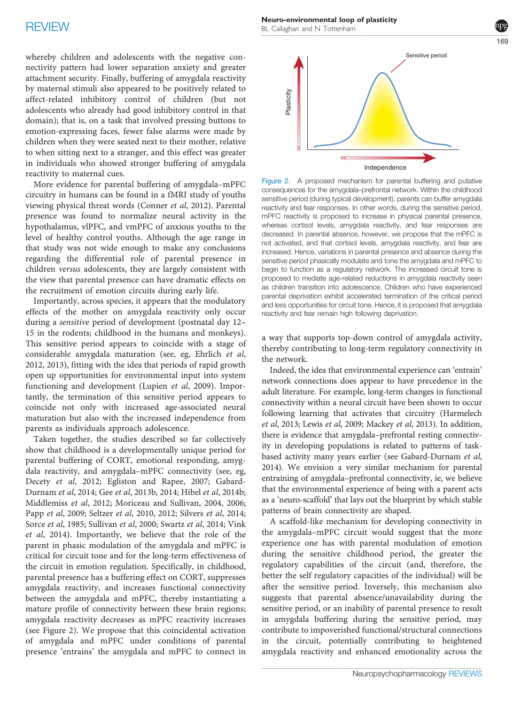<span id="page-6-0"></span>whereby children and adolescents with the negative connectivity pattern had lower separation anxiety and greater attachment security. Finally, buffering of amygdala reactivity by maternal stimuli also appeared to be positively related to affect-related inhibitory control of children (but not adolescents who already had good inhibitory control in that domain); that is, on a task that involved pressing buttons to emotion-expressing faces, fewer false alarms were made by children when they were seated next to their mother, relative to when sitting next to a stranger, and this effect was greater in individuals who showed stronger buffering of amygdala reactivity to maternal cues.

More evidence for parental buffering of amygdala–mPFC circuitry in humans can be found in a fMRI study of youths viewing physical threat words [\(Conner](#page-11-0) et al, 2012). Parental presence was found to normalize neural activity in the hypothalamus, vlPFC, and vmPFC of anxious youths to the level of healthy control youths. Although the age range in that study was not wide enough to make any conclusions regarding the differential role of parental presence in children versus adolescents, they are largely consistent with the view that parental presence can have dramatic effects on the recruitment of emotion circuits during early life.

Importantly, across species, it appears that the modulatory effects of the mother on amygdala reactivity only occur during a sensitive period of development (postnatal day 12– 15 in the rodents; childhood in the humans and monkeys). This sensitive period appears to coincide with a stage of considerable amygdala maturation (see, eg, [Ehrlich](#page-11-0) et al, [2012, 2013\)](#page-11-0), fitting with the idea that periods of rapid growth open up opportunities for environmental input into system functioning and development [\(Lupien](#page-12-0) et al, 2009). Importantly, the termination of this sensitive period appears to coincide not only with increased age-associated neural maturation but also with the increased independence from parents as individuals approach adolescence.

Taken together, the studies described so far collectively show that childhood is a developmentally unique period for parental buffering of CORT, emotional responding, amygdala reactivity, and amygdala–mPFC connectivity (see, eg, Decety et al[, 2012](#page-11-0); [Egliston and Rapee, 2007](#page-11-0); [Gabard-](#page-11-0)[Durnam](#page-11-0) et al, 2014; Gee et al[, 2013b, 2014](#page-11-0); Hibel et al[, 2014b;](#page-12-0) [Middlemiss](#page-12-0) et al, 2012; [Moriceau and Sullivan, 2004](#page-12-0), [2006;](#page-12-0) Papp et al[, 2009](#page-13-0); Seltzer et al[, 2010, 2012](#page-13-0); [Silvers](#page-13-0) et al, 2014; Sorce et al[, 1985; Sullivan](#page-13-0) et al, 2000; [Swartz](#page-13-0) et al, 2014; [Vink](#page-13-0) et al[, 2014](#page-13-0)). Importantly, we believe that the role of the parent in phasic modulation of the amygdala and mPFC is critical for circuit tone and for the long-term effectiveness of the circuit in emotion regulation. Specifically, in childhood, parental presence has a buffering effect on CORT, suppresses amygdala reactivity, and increases functional connectivity between the amygdala and mPFC, thereby instantiating a mature profile of connectivity between these brain regions; amygdala reactivity decreases as mPFC reactivity increases (see Figure 2). We propose that this coincidental activation of amygdala and mPFC under conditions of parental presence 'entrains' the amygdala and mPFC to connect in Neuro-environmental loop of plasticity BL Callaghan and N Tottenham

Independence Sensitive period

Figure 2. A proposed mechanism for parental buffering and putative consequences for the amygdala–prefrontal network. Within the childhood sensitive period (during typical development), parents can buffer amygdala reactivity and fear responses. In other words, during the sensitive period, mPFC reactivity is proposed to increase in physical parental presence, whereas cortisol levels, amygdala reactivity, and fear responses are decreased. In parental absence, however, we propose that the mPFC is not activated, and that cortisol levels, amygdala reactivity, and fear are increased. Hence, variations in parental presence and absence during the sensitive period phasically modulate and tone the amygdala and mPFC to begin to function as a regulatory network. The increased circuit tone is proposed to mediate age-related reductions in amygdala reactivity seen as children transition into adolescence. Children who have experienced parental deprivation exhibit accelerated termination of the critical period and less opportunities for circuit tone. Hence, it is proposed that amygdala reactivity and fear remain high following deprivation.

a way that supports top-down control of amygdala activity, thereby contributing to long-term regulatory connectivity in the network.

Indeed, the idea that environmental experience can 'entrain' network connections does appear to have precedence in the adult literature. For example, long-term changes in functional connectivity within a neural circuit have been shown to occur following learning that activates that circuitry ([Harmelech](#page-11-0) et al[, 2013;](#page-11-0) Lewis et al[, 2009](#page-12-0); [Mackey](#page-12-0) et al, 2013). In addition, there is evidence that amygdala–prefrontal resting connectivity in developing populations is related to patterns of taskbased activity many years earlier (see [Gabard-Durnam](#page-11-0) et al, [2014\)](#page-11-0). We envision a very similar mechanism for parental entraining of amygdala–prefrontal connectivity, ie, we believe that the environmental experience of being with a parent acts as a 'neuro-scaffold' that lays out the blueprint by which stable patterns of brain connectivity are shaped. Figure 2. A proposed mechanism for persons that the maximum is performanced and the maximum is a maximum of persons and the maximum is a maximum in the case of the any of the any of the angula reactivity and law the profi

A scaffold-like mechanism for developing connectivity in the amygdala–mPFC circuit would suggest that the more experience one has with parental modulation of emotion during the sensitive childhood period, the greater the regulatory capabilities of the circuit (and, therefore, the better the self regulatory capacities of the individual) will be after the sensitive period. Inversely, this mechanism also suggests that parental absence/unavailability during the sensitive period, or an inability of parental presence to result in amygdala buffering during the sensitive period, may contribute to impoverished functional/structural connections in the circuit, potentially contributing to heightened

.....................................................................................................................................................................  $160$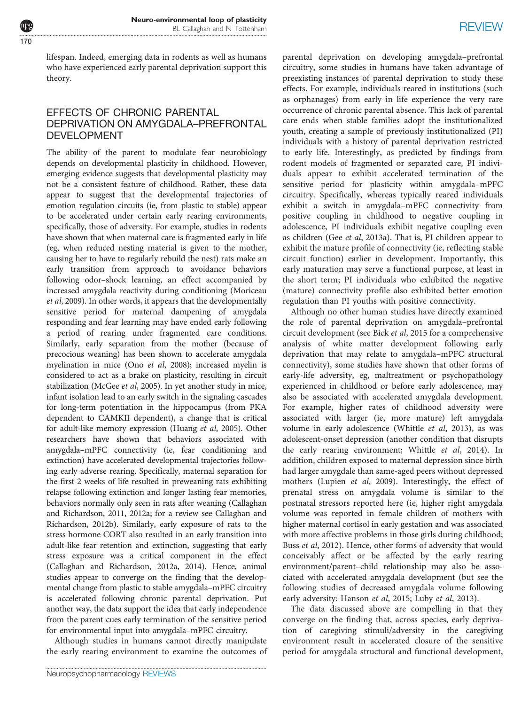lifespan. Indeed, emerging data in rodents as well as humans who have experienced early parental deprivation support this theory.

# EFFECTS OF CHRONIC PARENTAL DEPRIVATION ON AMYGDALA–PREFRONTAL<br>DEVELOPMENT

DEVELOPMENT The ability of the parent to modulate fear neurobiology depends on developmental plasticity in childhood. However, emerging evidence suggests that developmental plasticity may not be a consistent feature of childhood. Rather, these data appear to suggest that the developmental trajectories of emotion regulation circuits (ie, from plastic to stable) appear to be accelerated under certain early rearing environments, specifically, those of adversity. For example, studies in rodents have shown that when maternal care is fragmented early in life (eg, when reduced nesting material is given to the mother, causing her to have to regularly rebuild the nest) rats make an early transition from approach to avoidance behaviors following odor–shock learning, an effect accompanied by increased amygdala reactivity during conditioning ([Moriceau](#page-12-0) et al[, 2009\)](#page-12-0). In other words, it appears that the developmentally sensitive period for maternal dampening of amygdala responding and fear learning may have ended early following a period of rearing under fragmented care conditions. Similarly, early separation from the mother (because of precocious weaning) has been shown to accelerate amygdala myelination in mice (Ono et al[, 2008](#page-13-0)); increased myelin is considered to act as a brake on plasticity, resulting in circuit stabilization [\(McGee](#page-12-0) et al, 2005). In yet another study in mice, infant isolation lead to an early switch in the signaling cascades for long-term potentiation in the hippocampus (from PKA dependent to CAMKII dependent), a change that is critical for adult-like memory expression ([Huang](#page-12-0) et al, 2005). Other researchers have shown that behaviors associated with amygdala–mPFC connectivity (ie, fear conditioning and extinction) have accelerated developmental trajectories following early adverse rearing. Specifically, maternal separation for the first 2 weeks of life resulted in preweaning rats exhibiting relapse following extinction and longer lasting fear memories, behaviors normally only seen in rats after weaning [\(Callaghan](#page-11-0) [and Richardson, 2011](#page-11-0), [2012a;](#page-11-0) for a review see [Callaghan and](#page-11-0) [Richardson, 2012b\)](#page-11-0). Similarly, early exposure of rats to the stress hormone CORT also resulted in an early transition into adult-like fear retention and extinction, suggesting that early stress exposure was a critical component in the effect ([Callaghan and Richardson, 2012a, 2014\)](#page-11-0). Hence, animal studies appear to converge on the finding that the developmental change from plastic to stable amygdala–mPFC circuitry is accelerated following chronic parental deprivation. Put another way, the data support the idea that early independence from the parent cues early termination of the sensitive period for environmental input into amygdala–mPFC circuitry.

Although studies in humans cannot directly manipulate the early rearing environment to examine the outcomes of parental deprivation on developing amygdala–prefrontal circuitry, some studies in humans have taken advantage of preexisting instances of parental deprivation to study these effects. For example, individuals reared in institutions (such as orphanages) from early in life experience the very rare occurrence of chronic parental absence. This lack of parental care ends when stable families adopt the institutionalized youth, creating a sample of previously institutionalized (PI) individuals with a history of parental deprivation restricted to early life. Interestingly, as predicted by findings from rodent models of fragmented or separated care, PI individuals appear to exhibit accelerated termination of the sensitive period for plasticity within amygdala–mPFC circuitry. Specifically, whereas typically reared individuals exhibit a switch in amygdala–mPFC connectivity from positive coupling in childhood to negative coupling in adolescence, PI individuals exhibit negative coupling even as children (Gee et al[, 2013a\)](#page-11-0). That is, PI children appear to exhibit the mature profile of connectivity (ie, reflecting stable circuit function) earlier in development. Importantly, this early maturation may serve a functional purpose, at least in the short term; PI individuals who exhibited the negative (mature) connectivity profile also exhibited better emotion regulation than PI youths with positive connectivity.

Although no other human studies have directly examined the role of parental deprivation on amygdala–prefrontal circuit development (see Bick et al[, 2015](#page-11-0) for a comprehensive analysis of white matter development following early deprivation that may relate to amygdala–mPFC structural connectivity), some studies have shown that other forms of early-life adversity, eg, maltreatment or psychopathology experienced in childhood or before early adolescence, may also be associated with accelerated amygdala development. For example, higher rates of childhood adversity were associated with larger (ie, more mature) left amygdala volume in early adolescence ([Whittle](#page-13-0) et al, 2013), as was adolescent-onset depression (another condition that disrupts the early rearing environment; [Whittle](#page-13-0) et al, 2014). In addition, children exposed to maternal depression since birth had larger amygdale than same-aged peers without depressed mothers [\(Lupien](#page-12-0) et al, 2009). Interestingly, the effect of prenatal stress on amygdala volume is similar to the postnatal stressors reported here (ie, higher right amygdala volume was reported in female children of mothers with higher maternal cortisol in early gestation and was associated with more affective problems in those girls during childhood; Buss et al[, 2012\)](#page-11-0). Hence, other forms of adversity that would conceivably affect or be affected by the early rearing environment/parent–child relationship may also be associated with accelerated amygdala development (but see the following studies of decreased amygdala volume following early adversity: [Hanson](#page-11-0) et al, 2015; Luby et al[, 2013\)](#page-12-0).

The data discussed above are compelling in that they converge on the finding that, across species, early deprivation of caregiving stimuli/adversity in the caregiving environment result in accelerated closure of the sensitive period for amygdala structural and functional development,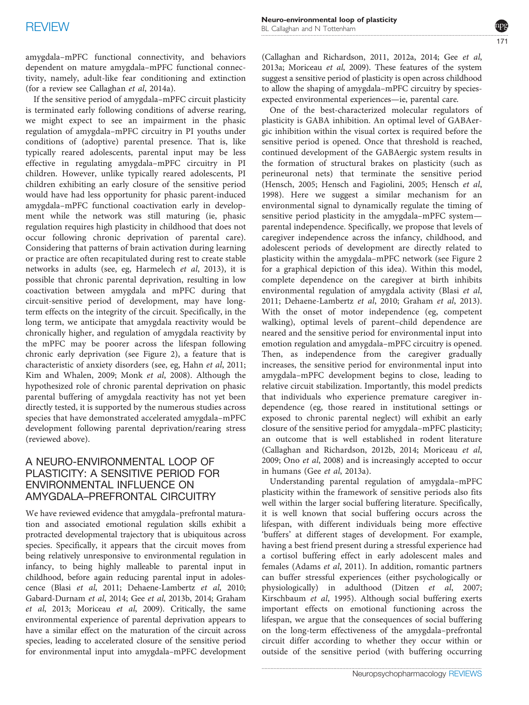amygdala–mPFC functional connectivity, and behaviors dependent on mature amygdala–mPFC functional connectivity, namely, adult-like fear conditioning and extinction (for a review see [Callaghan](#page-11-0) et al, 2014a).

If the sensitive period of amygdala–mPFC circuit plasticity is terminated early following conditions of adverse rearing, we might expect to see an impairment in the phasic regulation of amygdala–mPFC circuitry in PI youths under conditions of (adoptive) parental presence. That is, like typically reared adolescents, parental input may be less effective in regulating amygdala–mPFC circuitry in PI children. However, unlike typically reared adolescents, PI children exhibiting an early closure of the sensitive period would have had less opportunity for phasic parent-induced amygdala–mPFC functional coactivation early in development while the network was still maturing (ie, phasic regulation requires high plasticity in childhood that does not occur following chronic deprivation of parental care). Considering that patterns of brain activation during learning or practice are often recapitulated during rest to create stable networks in adults (see, eg, [Harmelech](#page-11-0) et al, 2013), it is possible that chronic parental deprivation, resulting in low coactivation between amygdala and mPFC during that circuit-sensitive period of development, may have longterm effects on the integrity of the circuit. Specifically, in the long term, we anticipate that amygdala reactivity would be chronically higher, and regulation of amygdala reactivity by the mPFC may be poorer across the lifespan following chronic early deprivation (see [Figure 2\)](#page-6-0), a feature that is characteristic of anxiety disorders (see, eg, Hahn et al[, 2011;](#page-11-0) [Kim and Whalen, 2009](#page-12-0); Monk et al[, 2008\)](#page-12-0). Although the hypothesized role of chronic parental deprivation on phasic parental buffering of amygdala reactivity has not yet been directly tested, it is supported by the numerous studies across species that have demonstrated accelerated amygdala–mPFC development following parental deprivation/rearing stress (reviewed above).

# A NEURO-ENVIRONMENTAL LOOP OF<br>PLASTICITY: A SENSITIVE PERIOD FOR ENVIRONMENTAL INFLUENCE ON AMYGDALA–PREFRONTAL CIRCUITRY

We have reviewed evidence that amygdala–prefrontal maturation and associated emotional regulation skills exhibit a protracted developmental trajectory that is ubiquitous across species. Specifically, it appears that the circuit moves from being relatively unresponsive to environmental regulation in infancy, to being highly malleable to parental input in childhood, before again reducing parental input in adolescence (Blasi et al[, 2011; Dehaene-Lambertz](#page-11-0) et al, 2010; [Gabard-Durnam](#page-11-0) et al, 2014; Gee et al[, 2013b, 2014](#page-11-0); [Graham](#page-11-0) et al[, 2013](#page-11-0); [Moriceau](#page-12-0) et al, 2009). Critically, the same environmental experience of parental deprivation appears to have a similar effect on the maturation of the circuit across species, leading to accelerated closure of the sensitive period for environmental input into amygdala–mPFC development

[\(Callaghan and Richardson, 2011, 2012a, 2014;](#page-11-0) Gee [et al](#page-11-0), [2013a](#page-11-0); [Moriceau](#page-12-0) et al, 2009). These features of the system suggest a sensitive period of plasticity is open across childhood to allow the shaping of amygdala–mPFC circuitry by speciesexpected environmental experiences—ie, parental care.

One of the best-characterized molecular regulators of plasticity is GABA inhibition. An optimal level of GABAergic inhibition within the visual cortex is required before the sensitive period is opened. Once that threshold is reached, continued development of the GABAergic system results in the formation of structural brakes on plasticity (such as perineuronal nets) that terminate the sensitive period [\(Hensch, 2005](#page-11-0); [Hensch and Fagiolini, 2005](#page-11-0); [Hensch](#page-11-0) et al, [1998\)](#page-11-0). Here we suggest a similar mechanism for an environmental signal to dynamically regulate the timing of sensitive period plasticity in the amygdala–mPFC system parental independence. Specifically, we propose that levels of caregiver independence across the infancy, childhood, and adolescent periods of development are directly related to plasticity within the amygdala–mPFC network (see [Figure 2](#page-6-0) for a graphical depiction of this idea). Within this model, complete dependence on the caregiver at birth inhibits environmental regulation of amygdala activity ([Blasi](#page-11-0) et al, [2011; Dehaene-Lambertz](#page-11-0) et al, 2010; [Graham](#page-11-0) et al, 2013). With the onset of motor independence (eg, competent walking), optimal levels of parent–child dependence are neared and the sensitive period for environmental input into emotion regulation and amygdala–mPFC circuitry is opened. Then, as independence from the caregiver gradually increases, the sensitive period for environmental input into amygdala–mPFC development begins to close, leading to relative circuit stabilization. Importantly, this model predicts that individuals who experience premature caregiver independence (eg, those reared in institutional settings or exposed to chronic parental neglect) will exhibit an early closure of the sensitive period for amygdala–mPFC plasticity; an outcome that is well established in rodent literature [\(Callaghan and Richardson, 2012b, 2014](#page-11-0); [Moriceau](#page-12-0) et al, [2009;](#page-12-0) Ono et al[, 2008](#page-13-0)) and is increasingly accepted to occur in humans (Gee et al[, 2013a](#page-11-0)).

Understanding parental regulation of amygdala–mPFC plasticity within the framework of sensitive periods also fits well within the larger social buffering literature. Specifically, it is well known that social buffering occurs across the lifespan, with different individuals being more effective 'buffers' at different stages of development. For example, having a best friend present during a stressful experience had a cortisol buffering effect in early adolescent males and females [\(Adams](#page-10-0) et al, 2011). In addition, romantic partners can buffer stressful experiences (either psychologically or physiologically) in adulthood (Ditzen et al[, 2007;](#page-11-0) [Kirschbaum](#page-12-0) et al, 1995). Although social buffering exerts important effects on emotional functioning across the lifespan, we argue that the consequences of social buffering on the long-term effectiveness of the amygdala–prefrontal circuit differ according to whether they occur within or outside of the sensitive period (with buffering occurring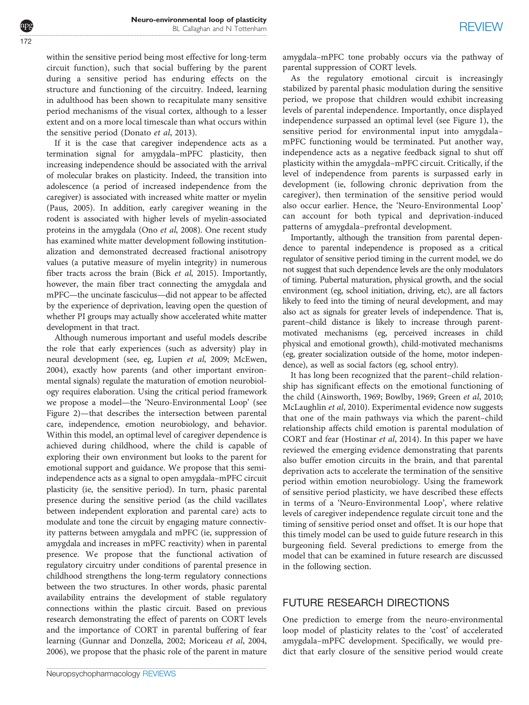within the sensitive period being most effective for long-term circuit function), such that social buffering by the parent during a sensitive period has enduring effects on the structure and functioning of the circuitry. Indeed, learning in adulthood has been shown to recapitulate many sensitive period mechanisms of the visual cortex, although to a lesser extent and on a more local timescale than what occurs within the sensitive period ([Donato](#page-11-0) et al, 2013).

If it is the case that caregiver independence acts as a termination signal for amygdala–mPFC plasticity, then increasing independence should be associated with the arrival of molecular brakes on plasticity. Indeed, the transition into adolescence (a period of increased independence from the caregiver) is associated with increased white matter or myelin ([Paus, 2005](#page-13-0)). In addition, early caregiver weaning in the rodent is associated with higher levels of myelin-associated proteins in the amygdala (Ono et al[, 2008](#page-13-0)). One recent study has examined white matter development following institutionalization and demonstrated decreased fractional anisotropy values (a putative measure of myelin integrity) in numerous fiber tracts across the brain (Bick et al[, 2015](#page-11-0)). Importantly, however, the main fiber tract connecting the amygdala and mPFC—the uncinate fasciculus—did not appear to be affected by the experience of deprivation, leaving open the question of whether PI groups may actually show accelerated white matter development in that tract.

Although numerous important and useful models describe the role that early experiences (such as adversity) play in neural development (see, eg, [Lupien](#page-12-0) et al, 2009; [McEwen,](#page-12-0) [2004](#page-12-0)), exactly how parents (and other important environmental signals) regulate the maturation of emotion neurobiology requires elaboration. Using the critical period framework we propose a model—the 'Neuro-Environmental Loop' (see [Figure 2](#page-6-0))—that describes the intersection between parental care, independence, emotion neurobiology, and behavior. Within this model, an optimal level of caregiver dependence is achieved during childhood, where the child is capable of exploring their own environment but looks to the parent for emotional support and guidance. We propose that this semiindependence acts as a signal to open amygdala–mPFC circuit plasticity (ie, the sensitive period). In turn, phasic parental presence during the sensitive period (as the child vacillates between independent exploration and parental care) acts to modulate and tone the circuit by engaging mature connectivity patterns between amygdala and mPFC (ie, suppression of amygdala and increases in mPFC reactivity) when in parental presence. We propose that the functional activation of regulatory circuitry under conditions of parental presence in childhood strengthens the long-term regulatory connections between the two structures. In other words, phasic parental availability entrains the development of stable regulatory connections within the plastic circuit. Based on previous research demonstrating the effect of parents on CORT levels and the importance of CORT in parental buffering of fear learning [\(Gunnar and Donzella, 2002;](#page-11-0) [Moriceau](#page-12-0) et al, 2004, [2006](#page-12-0)), we propose that the phasic role of the parent in mature

amygdala–mPFC tone probably occurs via the pathway of parental suppression of CORT levels.

As the regulatory emotional circuit is increasingly stabilized by parental phasic modulation during the sensitive period, we propose that children would exhibit increasing levels of parental independence. Importantly, once displayed independence surpassed an optimal level (see [Figure 1](#page-2-0)), the sensitive period for environmental input into amygdala– mPFC functioning would be terminated. Put another way, independence acts as a negative feedback signal to shut off plasticity within the amygdala–mPFC circuit. Critically, if the level of independence from parents is surpassed early in development (ie, following chronic deprivation from the caregiver), then termination of the sensitive period would also occur earlier. Hence, the 'Neuro-Environmental Loop' can account for both typical and deprivation-induced patterns of amygdala–prefrontal development.

Importantly, although the transition from parental dependence to parental independence is proposed as a critical regulator of sensitive period timing in the current model, we do not suggest that such dependence levels are the only modulators of timing. Pubertal maturation, physical growth, and the social environment (eg, school initiation, driving, etc), are all factors likely to feed into the timing of neural development, and may also act as signals for greater levels of independence. That is, parent–child distance is likely to increase through parentmotivated mechanisms (eg, perceived increases in child physical and emotional growth), child-motivated mechanisms (eg, greater socialization outside of the home, motor independence), as well as social factors (eg, school entry).

It has long been recognized that the parent–child relationship has significant effects on the emotional functioning of the child ([Ainsworth, 1969](#page-10-0); [Bowlby, 1969; Green](#page-11-0) et al, 2010; [McLaughlin](#page-12-0) et al, 2010). Experimental evidence now suggests that one of the main pathways via which the parent–child relationship affects child emotion is parental modulation of CORT and fear [\(Hostinar](#page-12-0) et al, 2014). In this paper we have reviewed the emerging evidence demonstrating that parents also buffer emotion circuits in the brain, and that parental deprivation acts to accelerate the termination of the sensitive period within emotion neurobiology. Using the framework of sensitive period plasticity, we have described these effects in terms of a 'Neuro-Environmental Loop', where relative levels of caregiver independence regulate circuit tone and the timing of sensitive period onset and offset. It is our hope that this timely model can be used to guide future research in this burgeoning field. Several predictions to emerge from the model that can be examined in future research are discussed in the following section.

# FUTURE RESEARCH DIRECTIONS

One prediction to emerge from the neuro-environmental loop model of plasticity relates to the 'cost' of accelerated amygdala–mPFC development. Specifically, we would predict that early closure of the sensitive period would create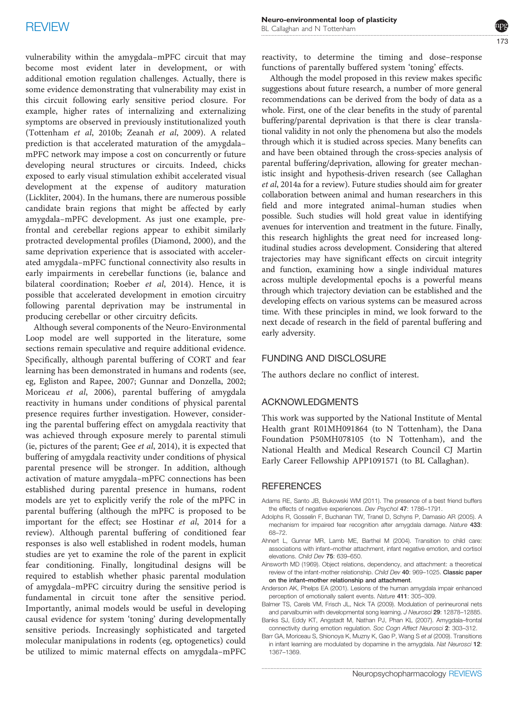<span id="page-10-0"></span>vulnerability within the amygdala–mPFC circuit that may become most evident later in development, or with additional emotion regulation challenges. Actually, there is some evidence demonstrating that vulnerability may exist in this circuit following early sensitive period closure. For example, higher rates of internalizing and externalizing symptoms are observed in previously institutionalized youth [\(Tottenham](#page-13-0) et al, 2010b; [Zeanah](#page-13-0) et al, 2009). A related prediction is that accelerated maturation of the amygdala– mPFC network may impose a cost on concurrently or future developing neural structures or circuits. Indeed, chicks exposed to early visual stimulation exhibit accelerated visual development at the expense of auditory maturation [\(Lickliter, 2004\)](#page-12-0). In the humans, there are numerous possible candidate brain regions that might be affected by early amygdala–mPFC development. As just one example, prefrontal and cerebellar regions appear to exhibit similarly protracted developmental profiles ([Diamond, 2000\)](#page-11-0), and the same deprivation experience that is associated with accelerated amygdala–mPFC functional connectivity also results in early impairments in cerebellar functions (ie, balance and bilateral coordination; [Roeber](#page-13-0) et al, 2014). Hence, it is possible that accelerated development in emotion circuitry following parental deprivation may be instrumental in producing cerebellar or other circuitry deficits.

Although several components of the Neuro-Environmental Loop model are well supported in the literature, some sections remain speculative and require additional evidence. Specifically, although parental buffering of CORT and fear learning has been demonstrated in humans and rodents (see, eg, [Egliston and Rapee, 2007](#page-11-0); [Gunnar and Donzella, 2002;](#page-11-0) [Moriceau](#page-12-0) et al, 2006), parental buffering of amygdala reactivity in humans under conditions of physical parental presence requires further investigation. However, considering the parental buffering effect on amygdala reactivity that was achieved through exposure merely to parental stimuli (ie, pictures of the parent; Gee et al[, 2014\)](#page-11-0), it is expected that buffering of amygdala reactivity under conditions of physical parental presence will be stronger. In addition, although activation of mature amygdala–mPFC connections has been established during parental presence in humans, rodent models are yet to explicitly verify the role of the mPFC in parental buffering (although the mPFC is proposed to be important for the effect; see [Hostinar](#page-12-0) et al, 2014 for a review). Although parental buffering of conditioned fear responses is also well established in rodent models, human studies are yet to examine the role of the parent in explicit fear conditioning. Finally, longitudinal designs will be required to establish whether phasic parental modulation of amygdala–mPFC circuitry during the sensitive period is fundamental in circuit tone after the sensitive period. Importantly, animal models would be useful in developing causal evidence for system 'toning' during developmentally sensitive periods. Increasingly sophisticated and targeted molecular manipulations in rodents (eg, optogenetics) could be utilized to mimic maternal effects on amygdala–mPFC reactivity, to determine the timing and dose–response functions of parentally buffered system 'toning' effects.

Although the model proposed in this review makes specific suggestions about future research, a number of more general recommendations can be derived from the body of data as a whole. First, one of the clear benefits in the study of parental buffering/parental deprivation is that there is clear translational validity in not only the phenomena but also the models through which it is studied across species. Many benefits can and have been obtained through the cross-species analysis of parental buffering/deprivation, allowing for greater mechanistic insight and hypothesis-driven research (see [Callaghan](#page-11-0) et al[, 2014a](#page-11-0) for a review). Future studies should aim for greater collaboration between animal and human researchers in this field and more integrated animal–human studies when possible. Such studies will hold great value in identifying avenues for intervention and treatment in the future. Finally, this research highlights the great need for increased longitudinal studies across development. Considering that altered trajectories may have significant effects on circuit integrity and function, examining how a single individual matures across multiple developmental epochs is a powerful means through which trajectory deviation can be established and the developing effects on various systems can be measured across time. With these principles in mind, we look forward to the next decade of research in the field of parental buffering and early adversity.

## **FUNDING AND DISCLOSURE**

The authors declare no conflict of interest.

ACKNOWLEDGMENTS This work was supported by the National Institute of Mental Health grant R01MH091864 (to N Tottenham), the Dana Foundation P50MH078105 (to N Tottenham), and the National Health and Medical Research Council CJ Martin Early Career Fellowship APP1091571 (to BL Callaghan).

- REFERENCES Adams RE, Santo JB, Bukowski WM (2011). The presence of a best friend buffers the effects of negative experiences. Dev Psychol 47: 1786–1791.
- Adolphs R, Gosselin F, Buchanan TW, Tranel D, Schyns P, Damasio AR (2005). A mechanism for impaired fear recognition after amygdala damage. Nature 433: 68–72.
- Ahnert L, Gunnar MR, Lamb ME, Barthel M (2004). Transition to child care: associations with infant–mother attachment, infant negative emotion, and cortisol elevations. Child Dev 75: 639–650.
- Ainsworth MD (1969). Object relations, dependency, and attachment: a theoretical review of the infant-mother relationship. Child Dev 40: 969–1025. Classic paper on the infant–mother relationship and attachment.
- Anderson AK, Phelps EA (2001). Lesions of the human amygdala impair enhanced perception of emotionally salient events. Nature 411: 305–309.
- Balmer TS, Carels VM, Frisch JL, Nick TA (2009). Modulation of perineuronal nets and parvalbumin with developmental song learning. J Neurosci 29: 12878-12885. Banks SJ, Eddy KT, Angstadt M, Nathan PJ, Phan KL (2007). Amygdala–frontal
- connectivity during emotion regulation. Soc Cogn Affect Neurosci 2: 303–312.
- Barr GA, Moriceau S, Shionoya K, Muzny K, Gao P, Wang S et al (2009). Transitions in infant learning are modulated by dopamine in the amygdala. Nat Neurosci 12: 1367–1369.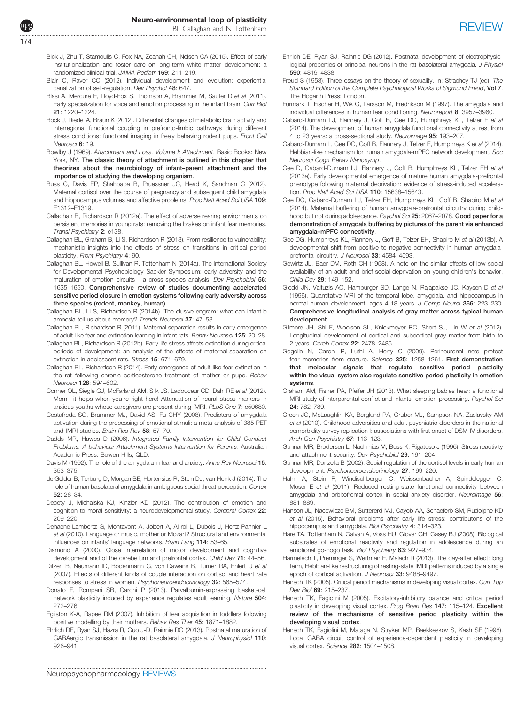- <span id="page-11-0"></span>Bick J, Zhu T, Stamoulis C, Fox NA, Zeanah CH, Nelson CA (2015). Effect of early institutionalization and foster care on long-term white matter development: a randomized clinical trial. JAMA Pediatr 169: 211–219.
- Blair C, Raver CC (2012). Individual development and evolution: experiential canalization of self-regulation. Dev Psychol 48: 647.
- Blasi A, Mercure E, Lloyd-Fox S, Thomson A, Brammer M, Sauter D et al (2011). Early specialization for voice and emotion processing in the infant brain. Curr Biol 21: 1220–1224.
- Bock J, Riedel A, Braun K (2012). Differential changes of metabolic brain activity and interregional functional coupling in prefronto-limbic pathways during different stress conditions: functional imaging in freely behaving rodent pups. Front Cell Neurosci 6: 19.
- Bowlby J (1969). Attachment and Loss. Volume I: Attachment. Basic Books: New York, NY. The classic theory of attachment is outlined in this chapter that theorizes about the neurobiology of infant–parent attachment and the importance of studying the developing organism.
- Buss C, Davis EP, Shahbaba B, Pruessner JC, Head K, Sandman C (2012). Maternal cortisol over the course of pregnancy and subsequent child amygdala and hippocampus volumes and affective problems. Proc Natl Acad Sci USA 109: E1312–E1319.
- Callaghan B, Richardson R (2012a). The effect of adverse rearing environments on persistent memories in young rats: removing the brakes on infant fear memories. Transl Psychiatry 2: e138.
- Callaghan BL, Graham B, Li S, Richardson R (2013). From resilience to vulnerability: mechanistic insights into the effects of stress on transitions in critical period plasticity. Front Psychiatry 4: 90.
- Callaghan BL, Howell B, Sullivan R, Tottenham N (2014a). The International Society for Developmental Psychobiology Sackler Symposium: early adversity and the maturation of emotion circuits - a cross-species analysis. Dev Psychobiol 56: 1635–1650. Comprehensive review of studies documenting accelerated sensitive period closure in emotion systems following early adversity across three species (rodent, monkey, human).
- Callaghan BL, Li S, Richardson R (2014b). The elusive engram: what can infantile amnesia tell us about memory? Trends Neurosci 37: 47–53.
- Callaghan BL, Richardson R (2011). Maternal separation results in early emergence of adult-like fear and extinction learning in infant rats. Behav Neurosci 125: 20–28.
- Callaghan BL, Richardson R (2012b). Early-life stress affects extinction during critical periods of development: an analysis of the effects of maternal-separation on extinction in adolescent rats. Stress 15: 671-679.
- Callaghan BL, Richardson R (2014). Early emergence of adult-like fear extinction in the rat following chronic corticosterone treatment of mother or pups. Behav Neurosci 128: 594–602.
- Conner OL, Siegle GJ, McFarland AM, Silk JS, Ladouceur CD, Dahl RE et al (2012). Mom—it helps when you're right here! Attenuation of neural stress markers in anxious youths whose caregivers are present during fMRI. PLoS One 7: e50680.
- Costafreda SG, Brammer MJ, David AS, Fu CHY (2008). Predictors of amygdala activation during the processing of emotional stimuli: a meta-analysis of 385 PET and fMRI studies. Brain Res Rev 58: 57–70.
- Dadds MR, Hawes D (2006). Integrated Family Intervention for Child Conduct Problems: A behaviour-Attachment-Systems Intervention for Parents. Australian Academic Press: Bowen Hills, QLD.
- Davis M (1992). The role of the amygdala in fear and anxiety. Annu Rev Neurosci 15: 353–375.
- de Gelder B, Terburg D, Morgan BE, Hortensius R, Stein DJ, van Honk J (2014). The role of human basolateral amygdala in ambiguous social threat perception. Cortex 52: 28–34.
- Decety J, Michalska KJ, Kinzler KD (2012). The contribution of emotion and cognition to moral sensitivity: a neurodevelopmental study. Cerebral Cortex 22: 209–220.
- Dehaene-Lambertz G, Montavont A, Jobert A, Allirol L, Dubois J, Hertz-Pannier L et al (2010). Language or music, mother or Mozart? Structural and environmental influences on infants' language networks. Brain Lang 114: 53–65.
- Diamond A (2000). Close interrelation of motor development and cognitive development and of the cerebellum and prefrontal cortex. Child Dev 71: 44–56.
- Ditzen B, Neumann ID, Bodenmann G, von Dawans B, Turner RA, Ehlert U et al (2007). Effects of different kinds of couple interaction on cortisol and heart rate responses to stress in women. Psychoneuroendocrinology 32: 565-574.
- Donato F, Rompani SB, Caroni P (2013). Parvalbumin-expressing basket-cell network plasticity induced by experience regulates adult learning. Nature 504: 272–276.
- Egliston K-A, Rapee RM (2007). Inhibition of fear acquisition in toddlers following positive modelling by their mothers. Behav Res Ther 45: 1871–1882.
- Ehrlich DE, Ryan SJ, Hazra R, Guo J-D, Rainnie DG (2013). Postnatal maturation of GABAergic transmission in the rat basolateral amygdala. J Neurophysiol 110: 926–941.
- Ehrlich DE, Ryan SJ, Rainnie DG (2012). Postnatal development of electrophysiological properties of principal neurons in the rat basolateral amygdala. *J Physiol* 590: 4819–4838.
- Freud S (1953). Three essays on the theory of sexuality. In: Strachey TJ (ed). The Standard Edition of the Complete Psychological Works of Sigmund Freud, Vol 7. The Hogarth Press: London.
- Furmark T, Fischer H, Wik G, Larsson M, Fredrikson M (1997). The amygdala and individual differences in human fear conditioning. Neuroreport 8: 3957–3960.
- Gabard-Durnam LJ, Flannery J, Goff B, Gee DG, Humphreys KL, Telzer E et al (2014). The development of human amygdala functional connectivity at rest from 4 to 23 years: a cross-sectional study. Neuroimage 95: 193–207.
- Gabard-Durnam L, Gee DG, Goff B, Flannery J, Telzer E, Humphreys K et al (2014). Hebbian-like mechanism for human amygdala-mPFC network development. Soc Neurosci Cogn Behav Nanosymp.
- Gee D, Gabard-Durnam LJ, Flannery J, Goff B, Humphreys KL, Telzer EH et al (2013a). Early developmental emergence of mature human amygdala-prefrontal phenotype following maternal deprivation: evidence of stress-induced acceleration. Proc Natl Acad Sci USA 110: 15638–15643.
- Gee DG, Gabard-Durnam LJ, Telzer EH, Humphreys KL, Goff B, Shapiro M et al (2014). Maternal buffering of human amygdala-prefrontal circuitry during childhood but not during adolescence. Psychol Sci 25: 2067-2078. Good paper for a demonstration of amygdala buffering by pictures of the parent via enhanced amygdala–mPFC connectivity.
- Gee DG, Humphreys KL, Flannery J, Goff B, Telzer EH, Shapiro M et al (2013b). A developmental shift from positive to negative connectivity in human amygdalaprefrontal circuitry. J Neurosci 33: 4584–4593.
- Gewirtz JL, Baer DM, Roth CH (1958). A note on the similar effects of low social availability of an adult and brief social deprivation on young children's behavior. Child Dev 29: 149–152.
- Giedd JN, Vaituzis AC, Hamburger SD, Lange N, Rajapakse JC, Kaysen D et al (1996). Quantitative MRI of the temporal lobe, amygdala, and hippocampus in normal human development: ages 4-18 years. J Comp Neurol 366: 223–230. Comprehensive longitudinal analysis of gray matter across typical human development.
- Gilmore JH, Shi F, Woolson SL, Knickmeyer RC, Short SJ, Lin W et al (2012). Longitudinal development of cortical and subcortical gray matter from birth to 2 years. Cereb Cortex 22: 2478–2485.
- Gogolla N, Caroni P, Luthi A, Herry C (2009). Perineuronal nets protect fear memories from erasure. Science 325: 1258–1261. First demonstration that molecular signals that regulate sensitive period plasticity within the visual system also regulate sensitive period plasticity in emotion systems.
- Graham AM, Fisher PA, Pfeifer JH (2013). What sleeping babies hear: a functional MRI study of interparental conflict and infants' emotion processing. Psychol Sci 24: 782–789.
- Green JG, McLaughlin KA, Berglund PA, Gruber MJ, Sampson NA, Zaslavsky AM et al (2010). Childhood adversities and adult psychiatric disorders in the national comorbidity survey replication I: associations with first onset of DSM-IV disorders. Arch Gen Psychiatry 67: 113-123.
- Gunnar MR, Brodersen L, Nachmias M, Buss K, Rigatuso J (1996). Stress reactivity and attachment security. Dev Psychobiol 29: 191–204.
- Gunnar MR, Donzella B (2002). Social regulation of the cortisol levels in early human development. Psychoneuroendocrinology 27: 199–220.
- Hahn A, Stein P, Windischberger C, Weissenbacher A, Spindelegger C, Moser E et al (2011). Reduced resting-state functional connectivity between amygdala and orbitofrontal cortex in social anxiety disorder. Neuroimage 56: 881–889.
- Hanson JL, Nacewiczc BM, Suttererd MJ, Cayob AA, Schaeferb SM, Rudolphe KD et al (2015). Behavioral problems after early life stress: contributons of the hippocampus and amygdala. Biol Psychiatry 4: 314-323.
- Hare TA, Tottenham N, Galvan A, Voss HU, Glover GH, Casey BJ (2008). Biological substrates of emotional reactivity and regulation in adolescence during an emotional go-nogo task. Biol Psychiatry 63: 927–934.
- Harmelech T, Preminger S, Wertman E, Malach R (2013). The day-after effect: long term, Hebbian-like restructuring of resting-state fMRI patterns induced by a single epoch of cortical activation. J Neurosci 33: 9488-9497.
- Hensch TK (2005). Critical period mechanisms in developing visual cortex. Curr Top Dev Biol 69: 215–237.
- Hensch TK, Fagiolini M (2005). Excitatory-inhibitory balance and critical period plasticity in developing visual cortex. Prog Brain Res 147: 115-124. Excellent review of the mechanisms of sensitive period plasticity within the developing visual cortex.
- Hensch TK, Fagiolini M, Mataga N, Stryker MP, Baekkeskov S, Kash SF (1998). Local GABA circuit control of experience-dependent plasticity in developing visual cortex. Science 282: 1504-1508.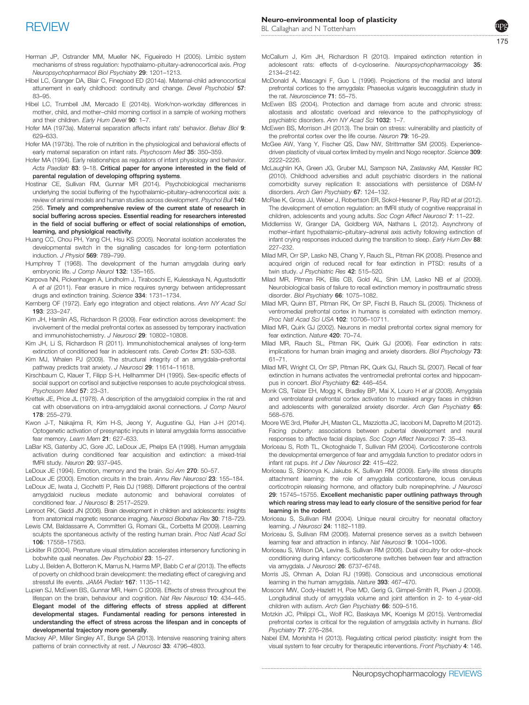- <span id="page-12-0"></span>Herman JP, Ostrander MM, Mueller NK, Figueiredo H (2005). Limbic system mechanisms of stress regulation: hypothalamo-pituitary-adrenocortical axis. Prog Neuropsychopharmacol Biol Psychiatry 29: 1201–1213.
- Hibel LC, Granger DA, Blair C, Finegood ED (2014a). Maternal‐child adrenocortical attunement in early childhood: continuity and change. Devel Psychobiol 57: 83–95.
- Hibel LC, Trumbell JM, Mercado E (2014b). Work/non-workday differences in mother, child, and mother–child morning cortisol in a sample of working mothers and their children. Farly Hum Devel 90: 1-7.
- Hofer MA (1973a). Maternal separation affects infant rats' behavior. Behav Biol 9: 629–633.
- Hofer MA (1973b). The role of nutrition in the physiological and behavioral effects of early maternal separation on infant rats. Psychosom Med 35: 350–359.
- Hofer MA (1994). Early relationships as regulators of infant physiology and behavior. Acta Paediatr 83: 9-18. Critical paper for anyone interested in the field of parental regulation of developing offspring systems.
- Hostinar CE, Sullivan RM, Gunnar MR (2014). Psychobiological mechanisms underlying the social buffering of the hypothalamic–pituitary–adrenocortical axis: a review of animal models and human studies across development. Psychol Bull 140: 256. Timely and comprehensive review of the current state of research in social buffering across species. Essential reading for researchers interested in the field of social buffering or effect of social relationships of emotion, learning, and physiolgical reactivity.
- Huang CC, Chou PH, Yang CH, Hsu KS (2005). Neonatal isolation accelerates the developmental switch in the signalling cascades for long-term potentiation induction. J Physiol 569: 789-799.
- Humphrey T (1968). The development of the human amygdala during early embryonic life. J Comp Neurol 132: 135-165.
- Karpova NN, Pickenhagen A, Lindholm J, Tiraboschi E, Kulesskaya N, Agustsdottir A et al (2011). Fear erasure in mice requires synergy between antidepressant drugs and extinction training. Science 334: 1731–1734.
- Kernberg OF (1972). Early ego integration and object relations. Ann NY Acad Sci 193: 233–247.
- Kim JH, Hamlin AS, Richardson R (2009). Fear extinction across development: the involvement of the medial prefrontal cortex as assessed by temporary inactivation and immunohistochemistry. J Neurosci 29: 10802-10808.
- Kim JH, Li S, Richardson R (2011). Immunohistochemical analyses of long-term extinction of conditioned fear in adolescent rats. Cereb Cortex 21: 530-538.
- Kim MJ, Whalen PJ (2009). The structural integrity of an amygdala-prefrontal pathway predicts trait anxiety. J Neurosci 29: 11614-11618.
- Kirschbaum C, Klauer T, Filipp S-H, Hellhammer DH (1995). Sex-specific effects of social support on cortisol and subjective responses to acute psychological stress. Psychosom Med 57: 23–31.
- Krettek JE, Price JL (1978). A description of the amygdaloid complex in the rat and cat with observations on intra-amygdaloid axonal connections. J Comp Neurol 178: 255–279.
- Kwon J-T, Nakajima R, Kim H-S, Jeong Y, Augustine GJ, Han J-H (2014). Optogenetic activation of presynaptic inputs in lateral amygdala forms associative fear memory. Learn Mem 21: 627-633.
- LaBar KS, Gatenby JC, Gore JC, LeDoux JE, Phelps EA (1998). Human amygdala activation during conditioned fear acquisition and extinction: a mixed-trial fMRI study. Neuron 20: 937–945.
- LeDoux JE (1994). Emotion, memory and the brain. Sci Am 270: 50–57.
- LeDoux JE (2000). Emotion circuits in the brain. Annu Rev Neurosci 23: 155-184.
- LeDoux JE, Iwata J, Cicchetti P, Reis DJ (1988). Different projections of the central amygdaloid nucleus mediate autonomic and behavioral correlates of conditioned fear. J Neurosci 8: 2517-2529.
- Lenroot RK, Giedd JN (2006). Brain development in children and adolescents: insights from anatomical magnetic resonance imaging. Neurosci Biobehav Rev 30: 718–729.
- Lewis CM, Baldassarre A, Committeri G, Romani GL, Corbetta M (2009). Learning sculpts the spontaneous activity of the resting human brain. Proc Natl Acad Sci 106: 17558–17563.
- Lickliter R (2004). Premature visual stimulation accelerates intersenory functioning in bobwhite quail neonates. Dev Psychobiol 23: 15–27.
- Luby J, Belden A, Botteron K, Marrus N, Harms MP, Babb C et al (2013). The effects of poverty on childhood brain development: the mediating effect of caregiving and stressful life events. JAMA Pediatr 167: 1135–1142.
- Lupien SJ, McEwen BS, Gunnar MR, Heim C (2009). Effects of stress throughout the lifespan on the brain, behaviour and cognition. Nat Rev Neurosci 10: 434-445. Elegant model of the differing effects of stress applied at different developmental stages. Fundamental reading for persons interested in understanding the effect of stress across the lifespan and in concepts of developmental trajectory more generally.
- Mackey AP, Miller Singley AT, Bunge SA (2013). Intensive reasoning training alters patterns of brain connectivity at rest. J Neurosci 33: 4796-4803.
- McCallum J, Kim JH, Richardson R (2010). Impaired extinction retention in adolescent rats: effects of d-cycloserine. Neuropsychopharmacology 35: 2134–2142.
- McDonald A, Mascagni F, Guo L (1996). Projections of the medial and lateral prefrontal cortices to the amygdala: Phaseolus vulgaris leucoagglutinin study in the rat. Neuroscience 71: 55–75.
- McEwen BS (2004). Protection and damage from acute and chronic stress: allostasis and allostatic overload and relevance to the pathophysiology of psychiatric disorders. Ann NY Acad Sci 1032: 1–7.
- McEwen BS, Morrison JH (2013). The brain on stress: vulnerability and plasticity of the prefrontal cortex over the life course. Neuron 79: 16–29.
- McGee AW, Yang Y, Fischer QS, Daw NW, Strittmatter SM (2005). Experiencedriven plasticity of visual cortex limited by myelin and Nogo receptor. Science 309: 2222–2226.
- McLaughlin KA, Green JG, Gruber MJ, Sampson NA, Zaslavsky AM, Kessler RC (2010). Childhood adversities and adult psychiatric disorders in the national comorbidity survey replication II: associations with persistence of DSM-IV disorders. Arch Gen Psychiatry 67: 124-132.
- McRae K, Gross JJ, Weber J, Robertson ER, Sokol-Hessner P, Ray RD et al (2012). The development of emotion regulation: an fMRI study of cognitive reappraisal in children, adolescents and young adults. Soc Cogn Affect Neurosci 7: 11-22.
- Middlemiss W, Granger DA, Goldberg WA, Nathans L (2012). Asynchrony of mother–infant hypothalamic–pituitary–adrenal axis activity following extinction of infant crying responses induced during the transition to sleep. Early Hum Dev 88: 227–232.
- Milad MR, Orr SP, Lasko NB, Chang Y, Rauch SL, Pitman RK (2008). Presence and acquired origin of reduced recall for fear extinction in PTSD: results of a twin study. J Psychiatric Res 42: 515-520.
- Milad MR, Pitman RK, Ellis CB, Gold AL, Shin LM, Lasko NB et al (2009). Neurobiological basis of failure to recall extinction memory in posttraumatic stress disorder. Biol Psychiatry 66: 1075-1082.
- Milad MR, Quinn BT, Pitman RK, Orr SP, Fischl B, Rauch SL (2005). Thickness of ventromedial prefrontal cortex in humans is correlated with extinction memory. Proc Natl Acad Sci USA 102: 10706–10711.
- Milad MR, Quirk GJ (2002). Neurons in medial prefrontal cortex signal memory for fear extinction. Nature 420: 70–74.
- Milad MR, Rauch SL, Pitman RK, Quirk GJ (2006). Fear extinction in rats: implications for human brain imaging and anxiety disorders. Biol Psychology 73: 61–71.
- Milad MR, Wright CI, Orr SP, Pitman RK, Quirk GJ, Rauch SL (2007). Recall of fear extinction in humans activates the ventromedial prefrontal cortex and hippocampus in concert. Biol Psychiatry 62: 446–454.
- Monk CS, Telzer EH, Mogg K, Bradley BP, Mai X, Louro H et al (2008). Amygdala and ventrolateral prefrontal cortex activation to masked angry faces in children and adolescents with generalized anxiety disorder. Arch Gen Psychiatry 65: 568–576.
- Moore WE 3rd, Pfeifer JH, Masten CL, Mazziotta JC, Iacoboni M, Dapretto M (2012). Facing puberty: associations between pubertal development and neural responses to affective facial displays. Soc Cogn Affect Neurosci 7: 35–43.
- Moriceau S, Roth TL, Okotoghaide T, Sullivan RM (2004). Corticosterone controls the developmental emergence of fear and amygdala function to predator odors in infant rat pups. Int J Dev Neurosci 22: 415–422.
- Moriceau S, Shionoya K, Jakubs K, Sullivan RM (2009). Early-life stress disrupts attachment learning: the role of amygdala corticosterone, locus ceruleus corticotropin releasing hormone, and olfactory bulb norepinephrine. J Neurosci 29: 15745–15755. Excellent mechanistic paper outlining pathways through which rearing stress may lead to early closure of the sensitive period for fear learning in the rodent.
- Moriceau S, Sullivan RM (2004). Unique neural circuitry for neonatal olfactory learning. J Neurosci 24: 1182-1189.
- Moriceau S, Sullivan RM (2006). Maternal presence serves as a switch between learning fear and attraction in infancy. Nat Neurosci 9: 1004-1006.
- Moriceau S, Wilson DA, Levine S, Sullivan RM (2006). Dual circuitry for odor–shock conditioning during infancy: corticosterone switches between fear and attraction via amygdala. J Neurosci 26: 6737–6748.
- Morris JS, Ohman A, Dolan RJ (1998). Conscious and unconscious emotional learning in the human amygdala. Nature 393: 467–470.
- Mosconi MW, Cody-Hazlett H, Poe MD, Gerig G, Gimpel-Smith R, Piven J (2009). Longitudinal study of amygdala volume and joint attention in 2- to 4-year-old children with autism. Arch Gen Psychiatry 66: 509-516.
- Motzkin JC, Philippi CL, Wolf RC, Baskaya MK, Koenigs M (2015). Ventromedial prefrontal cortex is critical for the regulation of amygdala activity in humans. Biol Psychiatry 77: 276–284.
- Nabel EM, Morishita H (2013). Regulating critical period plasticity: insight from the visual system to fear circuitry for therapeutic interventions. Front Psychiatry 4: 146.